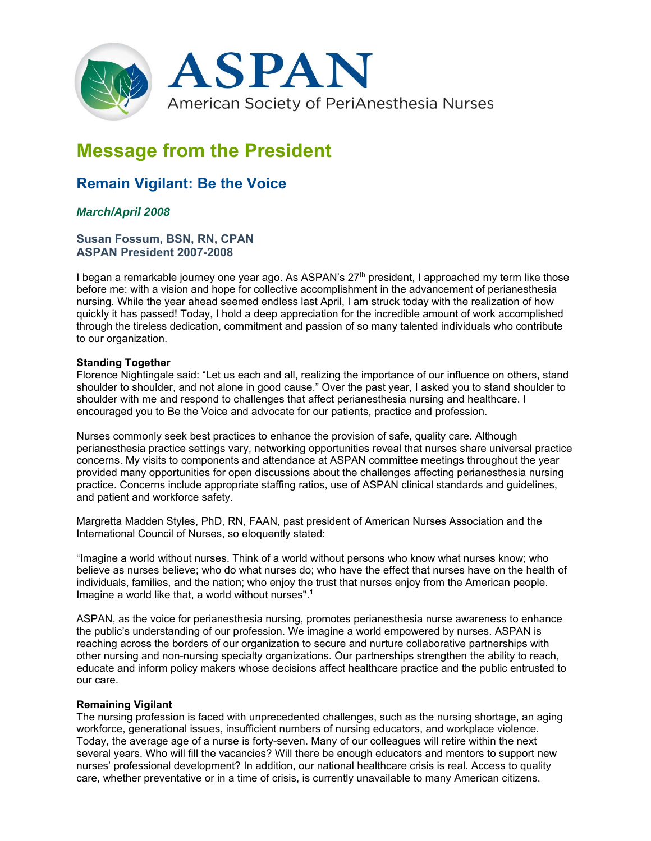

# **Message from the President**

## **Remain Vigilant: Be the Voice**

### *March/April 2008*

#### **Susan Fossum, BSN, RN, CPAN ASPAN President 2007-2008**

I began a remarkable journey one year ago. As ASPAN's 27<sup>th</sup> president, I approached my term like those before me: with a vision and hope for collective accomplishment in the advancement of perianesthesia nursing. While the year ahead seemed endless last April, I am struck today with the realization of how quickly it has passed! Today, I hold a deep appreciation for the incredible amount of work accomplished through the tireless dedication, commitment and passion of so many talented individuals who contribute to our organization.

#### **Standing Together**

Florence Nightingale said: "Let us each and all, realizing the importance of our influence on others, stand shoulder to shoulder, and not alone in good cause." Over the past year, I asked you to stand shoulder to shoulder with me and respond to challenges that affect perianesthesia nursing and healthcare. I encouraged you to Be the Voice and advocate for our patients, practice and profession.

Nurses commonly seek best practices to enhance the provision of safe, quality care. Although perianesthesia practice settings vary, networking opportunities reveal that nurses share universal practice concerns. My visits to components and attendance at ASPAN committee meetings throughout the year provided many opportunities for open discussions about the challenges affecting perianesthesia nursing practice. Concerns include appropriate staffing ratios, use of ASPAN clinical standards and guidelines, and patient and workforce safety.

Margretta Madden Styles, PhD, RN, FAAN, past president of American Nurses Association and the International Council of Nurses, so eloquently stated:

"Imagine a world without nurses. Think of a world without persons who know what nurses know; who believe as nurses believe; who do what nurses do; who have the effect that nurses have on the health of individuals, families, and the nation; who enjoy the trust that nurses enjoy from the American people. Imagine a world like that, a world without nurses".1

ASPAN, as the voice for perianesthesia nursing, promotes perianesthesia nurse awareness to enhance the public's understanding of our profession. We imagine a world empowered by nurses. ASPAN is reaching across the borders of our organization to secure and nurture collaborative partnerships with other nursing and non-nursing specialty organizations. Our partnerships strengthen the ability to reach, educate and inform policy makers whose decisions affect healthcare practice and the public entrusted to our care.

#### **Remaining Vigilant**

The nursing profession is faced with unprecedented challenges, such as the nursing shortage, an aging workforce, generational issues, insufficient numbers of nursing educators, and workplace violence. Today, the average age of a nurse is forty-seven. Many of our colleagues will retire within the next several years. Who will fill the vacancies? Will there be enough educators and mentors to support new nurses' professional development? In addition, our national healthcare crisis is real. Access to quality care, whether preventative or in a time of crisis, is currently unavailable to many American citizens.